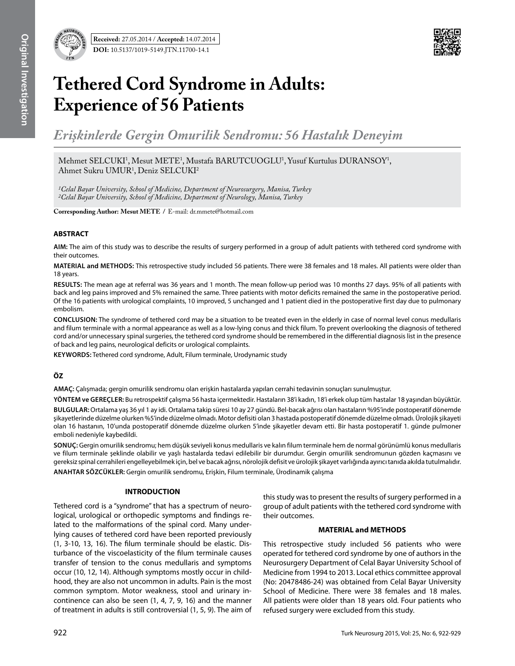

# **Tethered Cord Syndrome in Adults: Experience of 56 Patients**

*Erişkinlerde Gergin Omurilik Sendromu: 56 Hastalık Deneyim*

Mehmet SELCUKI<sup>1</sup>, Mesut METE<sup>1</sup>, Mustafa BARUTCUOGLU<sup>1</sup>, Yusuf Kurtulus DURANSOY<sup>1</sup>, Ahmet Sukru UMUR1 , Deniz SELCUKI2

*1Celal Bayar University, School of Medicine, Department of Neurosurgery, Manisa, Turkey 2Celal Bayar University, School of Medicine, Department of Neurology, Manisa, Turkey*

**Corresponding Author: Mesut METE /** E-mail: dr.mmete@hotmail.com

# **ABSTRACT**

**AIm:** The aim of this study was to describe the results of surgery performed in a group of adult patients with tethered cord syndrome with their outcomes.

**MaterIal and Methods:** This retrospective study included 56 patients. There were 38 females and 18 males. All patients were older than 18 years.

**Results:** The mean age at referral was 36 years and 1 month. The mean follow-up period was 10 months 27 days. 95% of all patients with back and leg pains improved and 5% remained the same. Three patients with motor deficits remained the same in the postoperative period. Of the 16 patients with urological complaints, 10 improved, 5 unchanged and 1 patient died in the postoperative first day due to pulmonary embolism.

**ConclusIon:** The syndrome of tethered cord may be a situation to be treated even in the elderly in case of normal level conus medullaris and filum terminale with a normal appearance as well as a low-lying conus and thick filum. To prevent overlooking the diagnosis of tethered cord and/or unnecessary spinal surgeries, the tethered cord syndrome should be remembered in the differential diagnosis list in the presence of back and leg pains, neurological deficits or urological complaints.

**Keywords:** Tethered cord syndrome, Adult, Filum terminale, Urodynamic study

# **ÖZ**

**AMAÇ:** Çalışmada; gergin omurilik sendromu olan erişkin hastalarda yapılan cerrahi tedavinin sonuçları sunulmuştur.

**YÖNTEM ve GEREÇLER:** Bu retrospektif çalışma 56 hasta içermektedir. Hastaların 38'i kadın, 18'i erkek olup tüm hastalar 18 yaşından büyüktür.

**BULGULAR:** Ortalama yaş 36 yıl 1 ay idi. Ortalama takip süresi 10 ay 27 gündü. Bel-bacak ağrısı olan hastaların %95'inde postoperatif dönemde şikayetlerinde düzelme olurken %5'inde düzelme olmadı. Motor defisiti olan 3 hastada postoperatif dönemde düzelme olmadı. Ürolojik şikayeti olan 16 hastanın, 10'unda postoperatif dönemde düzelme olurken 5'inde şikayetler devam etti. Bir hasta postoperatif 1. günde pulmoner emboli nedeniyle kaybedildi.

**SONUÇ:** Gergin omurilik sendromu; hem düşük seviyeli konus medullaris ve kalın filum terminale hem de normal görünümlü konus medullaris ve filum terminale şeklinde olabilir ve yaşlı hastalarda tedavi edilebilir bir durumdur. Gergin omurilik sendromunun gözden kaçmasını ve gereksiz spinal cerrahileri engelleyebilmek için, bel ve bacak ağrısı, nörolojik defisit ve ürolojik şikayet varlığında ayırıcı tanıda akılda tutulmalıdır. **ANAHTAR SÖZCÜKLER:** Gergin omurilik sendromu, Erişkin, Filum terminale, Ürodinamik çalışma

# **INTRODUCTION**

Tethered cord is a "syndrome" that has a spectrum of neurological, urological or orthopedic symptoms and findings related to the malformations of the spinal cord. Many underlying causes of tethered cord have been reported previously (1, 3-10, 13, 16). The filum terminale should be elastic. Disturbance of the viscoelasticity of the filum terminale causes transfer of tension to the conus medullaris and symptoms occur (10, 12, 14). Although symptoms mostly occur in childhood, they are also not uncommon in adults. Pain is the most common symptom. Motor weakness, stool and urinary incontinence can also be seen (1, 4, 7, 9, 16) and the manner of treatment in adults is still controversial (1, 5, 9). The aim of this study was to present the results of surgery performed in a group of adult patients with the tethered cord syndrome with their outcomes.

## **MATERIAL and METHODS**

This retrospective study included 56 patients who were operated for tethered cord syndrome by one of authors in the Neurosurgery Department of Celal Bayar University School of Medicine from 1994 to 2013. Local ethics committee approval (No: 20478486-24) was obtained from Celal Bayar University School of Medicine. There were 38 females and 18 males. All patients were older than 18 years old. Four patients who refused surgery were excluded from this study.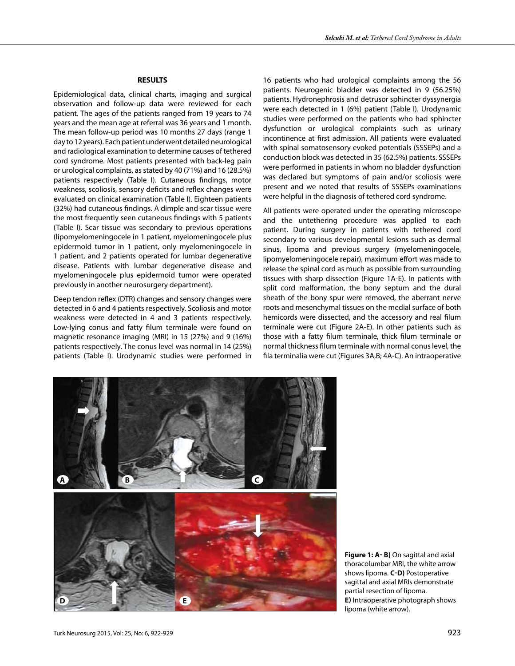#### **RESULTS**

Epidemiological data, clinical charts, imaging and surgical observation and follow-up data were reviewed for each patient. The ages of the patients ranged from 19 years to 74 years and the mean age at referral was 36 years and 1 month. The mean follow-up period was 10 months 27 days (range 1 day to 12 years). Each patient underwent detailed neurological and radiological examination to determine causes of tethered cord syndrome. Most patients presented with back-leg pain or urological complaints, as stated by 40 (71%) and 16 (28.5%) patients respectively (Table I). Cutaneous findings, motor weakness, scoliosis, sensory deficits and reflex changes were evaluated on clinical examination (Table I). Eighteen patients (32%) had cutaneous findings. A dimple and scar tissue were the most frequently seen cutaneous findings with 5 patients (Table I). Scar tissue was secondary to previous operations (lipomyelomeningocele in 1 patient, myelomeningocele plus epidermoid tumor in 1 patient, only myelomeningocele in 1 patient, and 2 patients operated for lumbar degenerative disease. Patients with lumbar degenerative disease and myelomeningocele plus epidermoid tumor were operated previously in another neurosurgery department).

Deep tendon reflex (DTR) changes and sensory changes were detected in 6 and 4 patients respectively. Scoliosis and motor weakness were detected in 4 and 3 patients respectively. Low-lying conus and fatty filum terminale were found on magnetic resonance imaging (MRI) in 15 (27%) and 9 (16%) patients respectively. The conus level was normal in 14 (25%) patients (Table I). Urodynamic studies were performed in

16 patients who had urological complaints among the 56 patients. Neurogenic bladder was detected in 9 (56.25%) patients. Hydronephrosis and detrusor sphincter dyssynergia were each detected in 1 (6%) patient (Table I). Urodynamic studies were performed on the patients who had sphincter dysfunction or urological complaints such as urinary incontinence at first admission. All patients were evaluated with spinal somatosensory evoked potentials (SSSEPs) and a conduction block was detected in 35 (62.5%) patients. SSSEPs were performed in patients in whom no bladder dysfunction was declared but symptoms of pain and/or scoliosis were present and we noted that results of SSSEPs examinations were helpful in the diagnosis of tethered cord syndrome.

All patients were operated under the operating microscope and the untethering procedure was applied to each patient. During surgery in patients with tethered cord secondary to various developmental lesions such as dermal sinus, lipoma and previous surgery (myelomeningocele, lipomyelomeningocele repair), maximum effort was made to release the spinal cord as much as possible from surrounding tissues with sharp dissection (Figure 1A-E). In patients with split cord malformation, the bony septum and the dural sheath of the bony spur were removed, the aberrant nerve roots and mesenchymal tissues on the medial surface of both hemicords were dissected, and the accessory and real filum terminale were cut (Figure 2A-E). In other patients such as those with a fatty filum terminale, thick filum terminale or normal thickness filum terminale with normal conus level, the fila terminalia were cut (Figures 3A,B; 4A-C). An intraoperative



**Figure 1: A-B)** On sagittal and axial thoracolumbar MRI, the white arrow shows lipoma. **C-D**) Postoperative sagittal and axial MRIs demonstrate partial resection of lipoma. **e)** Intraoperative photograph shows lipoma (white arrow).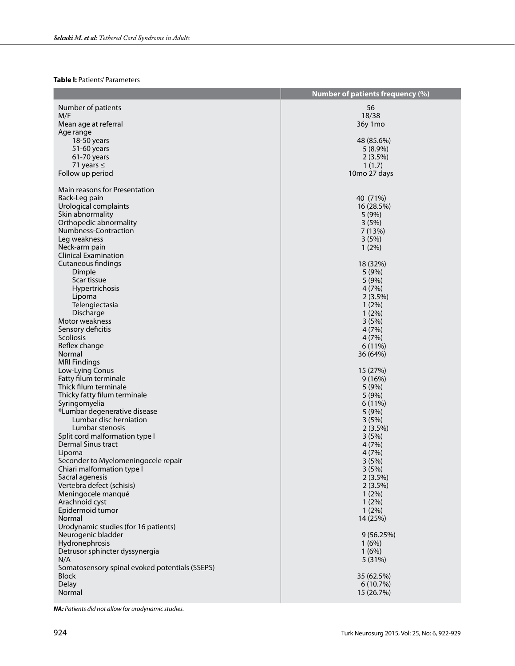# **Table I:** Patients' Parameters

|                                                            | Number of patients frequency (%) |
|------------------------------------------------------------|----------------------------------|
| Number of patients                                         | 56                               |
| M/F                                                        | 18/38                            |
| Mean age at referral                                       | 36y 1mo                          |
| Age range                                                  |                                  |
| 18-50 years                                                | 48 (85.6%)                       |
| 51-60 years                                                | $5(8.9\%)$                       |
| 61-70 years                                                | $2(3.5\%)$                       |
| 71 years $\leq$<br>Follow up period                        | 1(1.7)<br>10mo 27 days           |
|                                                            |                                  |
| Main reasons for Presentation                              |                                  |
| Back-Leg pain                                              | 40 (71%)                         |
| Urological complaints                                      | 16 (28.5%)                       |
| Skin abnormality                                           | 5(9%)                            |
| Orthopedic abnormality                                     | 3(5%)                            |
| Numbness-Contraction<br>Leg weakness                       | 7(13%)<br>3(5%)                  |
| Neck-arm pain                                              | 1(2%)                            |
| <b>Clinical Examination</b>                                |                                  |
| Cutaneous findings                                         | 18 (32%)                         |
| Dimple                                                     | 5(9%)                            |
| Scar tissue                                                | 5 (9%)                           |
| <b>Hypertrichosis</b>                                      | 4(7%)                            |
| Lipoma                                                     | $2(3.5\%)$                       |
| Telengiectasia                                             | 1(2%)                            |
| Discharge<br>Motor weakness                                | 1(2%)<br>3(5%)                   |
| Sensory deficitis                                          | 4(7%)                            |
| Scoliosis                                                  | 4(7%)                            |
| Reflex change                                              | $6(11\%)$                        |
| Normal                                                     | 36 (64%)                         |
| <b>MRI Findings</b>                                        |                                  |
| Low-Lying Conus                                            | 15 (27%)                         |
| Fatty filum terminale                                      | 9(16%)                           |
| Thick filum terminale<br>Thicky fatty filum terminale      | 5 (9%)<br>5(9%)                  |
| Syringomyelia                                              | $6(11\%)$                        |
| *Lumbar degenerative disease                               | 5(9%)                            |
| Lumbar disc herniation                                     | 3(5%)                            |
| Lumbar stenosis                                            | 2(3.5%)                          |
| Split cord malformation type I                             | 3(5%)                            |
| <b>Dermal Sinus tract</b>                                  | 4 (7%)                           |
| Lipoma<br>Seconder to Myelomeningocele repair              | 4(7%)<br>3(5%)                   |
| Chiari malformation type I                                 | 3(5%)                            |
| Sacral agenesis                                            | $2(3.5\%)$                       |
| Vertebra defect (schisis)                                  | $2(3.5\%)$                       |
| Meningocele manqué                                         | 1(2%)                            |
| Arachnoid cyst                                             | 1(2%)                            |
| Epidermoid tumor                                           | 1(2%)                            |
| Normal                                                     | 14 (25%)                         |
| Urodynamic studies (for 16 patients)<br>Neurogenic bladder | 9(56.25%)                        |
| Hydronephrosis                                             | 1(6%)                            |
| Detrusor sphincter dyssynergia                             | 1(6%)                            |
| N/A                                                        | 5(31%)                           |
| Somatosensory spinal evoked potentials (SSEPS)             |                                  |
| <b>Block</b>                                               | 35 (62.5%)                       |
| <b>Delay</b>                                               | 6(10.7%)                         |
| Normal                                                     | 15 (26.7%)                       |

*NA: Patients did not allow for urodynamic studies.*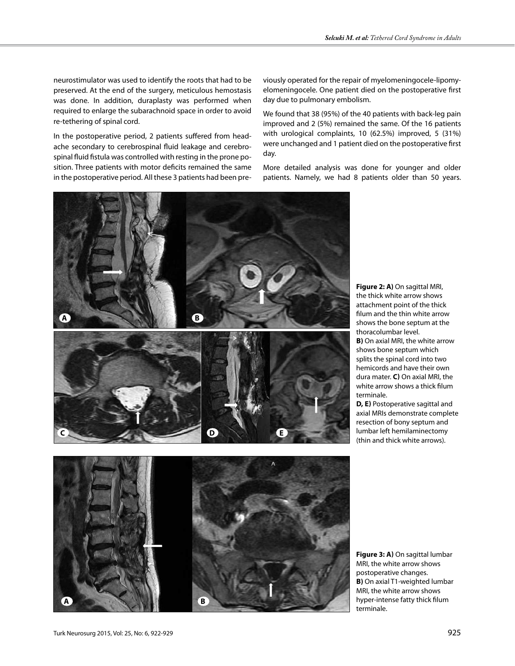neurostimulator was used to identify the roots that had to be preserved. At the end of the surgery, meticulous hemostasis was done. In addition, duraplasty was performed when required to enlarge the subarachnoid space in order to avoid re-tethering of spinal cord.

In the postoperative period, 2 patients suffered from headache secondary to cerebrospinal fluid leakage and cerebrospinal fluid fistula was controlled with resting in the prone position. Three patients with motor deficits remained the same in the postoperative period. All these 3 patients had been previously operated for the repair of myelomeningocele-lipomyelomeningocele. One patient died on the postoperative first day due to pulmonary embolism.

We found that 38 (95%) of the 40 patients with back-leg pain improved and 2 (5%) remained the same. Of the 16 patients with urological complaints, 10 (62.5%) improved, 5 (31%) were unchanged and 1 patient died on the postoperative first day.

More detailed analysis was done for younger and older patients. Namely, we had 8 patients older than 50 years.

> **Figure 2: a)** On sagittal MRI, the thick white arrow shows attachment point of the thick filum and the thin white arrow shows the bone septum at the thoracolumbar level. **B**) On axial MRI, the white arrow shows bone septum which splits the spinal cord into two hemicords and have their own dura mater. **c)** On axial MRI, the white arrow shows a thick filum terminale.

**D, E)** Postoperative sagittal and axial MRIs demonstrate complete resection of bony septum and lumbar left hemilaminectomy (thin and thick white arrows).

**Figure 3: a)** On sagittal lumbar MRI, the white arrow shows postoperative changes. **b)** On axial T1-weighted lumbar MRI, the white arrow shows hyper-intense fatty thick filum terminale.





**c d e**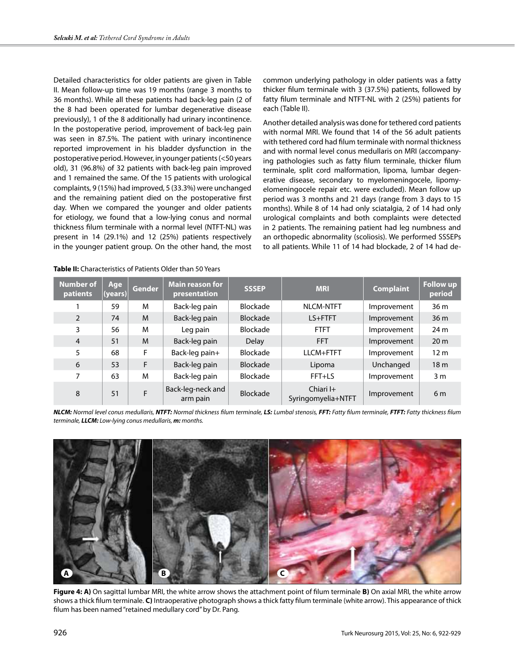Detailed characteristics for older patients are given in Table II. Mean follow-up time was 19 months (range 3 months to 36 months). While all these patients had back-leg pain (2 of the 8 had been operated for lumbar degenerative disease previously), 1 of the 8 additionally had urinary incontinence. In the postoperative period, improvement of back-leg pain was seen in 87.5%. The patient with urinary incontinence reported improvement in his bladder dysfunction in the postoperative period. However, in younger patients (<50 years old), 31 (96.8%) of 32 patients with back-leg pain improved and 1 remained the same. Of the 15 patients with urological complaints, 9 (15%) had improved, 5 (33.3%) were unchanged and the remaining patient died on the postoperative first day. When we compared the younger and older patients for etiology, we found that a low-lying conus and normal thickness filum terminale with a normal level (NTFT-NL) was present in 14 (29.1%) and 12 (25%) patients respectively in the younger patient group. On the other hand, the most

#### **Table II:** Characteristics of Patients Older than 50 Years

common underlying pathology in older patients was a fatty thicker filum terminale with 3 (37.5%) patients, followed by fatty filum terminale and NTFT-NL with 2 (25%) patients for each (Table II).

Another detailed analysis was done for tethered cord patients with normal MRI. We found that 14 of the 56 adult patients with tethered cord had filum terminale with normal thickness and with normal level conus medullaris on MRI (accompanying pathologies such as fatty filum terminale, thicker filum terminale, split cord malformation, lipoma, lumbar degenerative disease, secondary to myelomeningocele, lipomyelomeningocele repair etc. were excluded). Mean follow up period was 3 months and 21 days (range from 3 days to 15 months). While 8 of 14 had only sciatalgia, 2 of 14 had only urological complaints and both complaints were detected in 2 patients. The remaining patient had leg numbness and an orthopedic abnormality (scoliosis). We performed SSSEPs to all patients. While 11 of 14 had blockade, 2 of 14 had de-

| <b>Number of</b><br>patients | Age<br>(years) | <b>Gender</b> | <b>Main reason for</b><br>presentation | <b>SSSEP</b>    | <b>MRI</b>                       | <b>Complaint</b> | <b>Follow up</b><br>period |
|------------------------------|----------------|---------------|----------------------------------------|-----------------|----------------------------------|------------------|----------------------------|
|                              | 59             | м             | Back-leg pain                          | Blockade        | <b>NLCM-NTFT</b>                 | Improvement      | 36 m                       |
| $\overline{2}$               | 74             | M             | Back-leg pain                          | Blockade        | LS+FTFT                          | Improvement      | 36 <sub>m</sub>            |
| 3                            | 56             | м             | Leg pain                               | Blockade        | <b>FTFT</b>                      | Improvement      | 24 <sub>m</sub>            |
| $\overline{4}$               | 51             | M             | Back-leg pain                          | <b>Delay</b>    | <b>FFT</b>                       | Improvement      | 20 <sub>m</sub>            |
| 5                            | 68             | F             | Back-leg pain+                         | Blockade        | LLCM+FTFT                        | Improvement      | 12 <sub>m</sub>            |
| 6                            | 53             | F             | Back-leg pain                          | <b>Blockade</b> | Lipoma                           | Unchanged        | 18 <sub>m</sub>            |
| 7                            | 63             | M             | Back-leg pain                          | Blockade        | FFT+LS                           | Improvement      | 3 <sub>m</sub>             |
| 8                            | 51             | F             | Back-leg-neck and<br>arm pain          | Blockade        | Chiari $H$<br>Syringomyelia+NTFT | Improvement      | 6 <sub>m</sub>             |

*NLCM: Normal level conus medullaris, NTFT: Normal thickness filum terminale, LS: Lumbal stenosis, FFT: Fatty filum terminale, FTFT: Fatty thickness filum terminale, LLCM: Low-lying conus medullaris, m: months.*



**Figure 4: a)** On sagittal lumbar MRI, the white arrow shows the attachment point of filum terminale **b)** On axial MRI, the white arrow shows a thick filum terminale. **c)** Intraoperative photograph shows a thick fatty filum terminale (white arrow). This appearance of thick filum has been named "retained medullary cord" by Dr. Pang.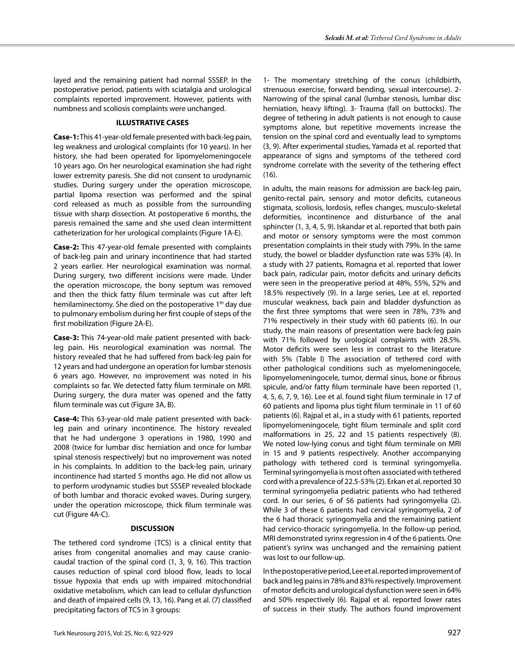layed and the remaining patient had normal SSSEP. In the postoperative period, patients with sciatalgia and urological complaints reported improvement. However, patients with numbness and scoliosis complaints were unchanged.

#### **ILLUSTRATIVE CASES**

**Case-1:** This 41-year-old female presented with back-leg pain, leg weakness and urological complaints (for 10 years). In her history, she had been operated for lipomyelomeningocele 10 years ago. On her neurological examination she had right lower extremity paresis. She did not consent to urodynamic studies. During surgery under the operation microscope, partial lipoma resection was performed and the spinal cord released as much as possible from the surrounding tissue with sharp dissection. At postoperative 6 months, the paresis remained the same and she used clean intermittent catheterization for her urological complaints (Figure 1A-E).

**Case-2:** This 47-year-old female presented with complaints of back-leg pain and urinary incontinence that had started 2 years earlier. Her neurological examination was normal. During surgery, two different incisions were made. Under the operation microscope, the bony septum was removed and then the thick fatty filum terminale was cut after left hemilaminectomy. She died on the postoperative  $1<sup>th</sup>$  day due to pulmonary embolism during her first couple of steps of the first mobilization (Figure 2A-E).

**Case-3:** This 74-year-old male patient presented with backleg pain. His neurological examination was normal. The history revealed that he had suffered from back-leg pain for 12 years and had undergone an operation for lumbar stenosis 6 years ago. However, no improvement was noted in his complaints so far. We detected fatty filum terminale on MRI. During surgery, the dura mater was opened and the fatty filum terminale was cut (Figure 3A, B).

**Case-4:** This 63-year-old male patient presented with backleg pain and urinary incontinence. The history revealed that he had undergone 3 operations in 1980, 1990 and 2008 (twice for lumbar disc herniation and once for lumbar spinal stenosis respectively) but no improvement was noted in his complaints. In addition to the back-leg pain, urinary incontinence had started 5 months ago. He did not allow us to perform urodynamic studies but SSSEP revealed blockade of both lumbar and thoracic evoked waves. During surgery, under the operation microscope, thick filum terminale was cut (Figure 4A-C).

## **DISCUSSION**

The tethered cord syndrome (TCS) is a clinical entity that arises from congenital anomalies and may cause craniocaudal traction of the spinal cord (1, 3, 9, 16). This traction causes reduction of spinal cord blood flow, leads to local tissue hypoxia that ends up with impaired mitochondrial oxidative metabolism, which can lead to cellular dysfunction and death of impaired cells (9, 13, 16). Pang et al. (7) classified precipitating factors of TCS in 3 groups:

1- The momentary stretching of the conus (childbirth, strenuous exercise, forward bending, sexual intercourse). 2- Narrowing of the spinal canal (lumbar stenosis, lumbar disc herniation, heavy lifting). 3- Trauma (fall on buttocks). The degree of tethering in adult patients is not enough to cause symptoms alone, but repetitive movements increase the tension on the spinal cord and eventually lead to symptoms (3, 9). After experimental studies, Yamada et al. reported that appearance of signs and symptoms of the tethered cord syndrome correlate with the severity of the tethering effect (16).

In adults, the main reasons for admission are back-leg pain, genito-rectal pain, sensory and motor deficits, cutaneous stigmata, scoliosis, lordosis, reflex changes, musculo-skeletal deformities, incontinence and disturbance of the anal sphincter (1, 3, 4, 5, 9). Iskandar et al. reported that both pain and motor or sensory symptoms were the most common presentation complaints in their study with 79%. In the same study, the bowel or bladder dysfunction rate was 53% (4). In a study with 27 patients, Romagna et al. reported that lower back pain, radicular pain, motor deficits and urinary deficits were seen in the preoperative period at 48%, 55%, 52% and 18.5% respectively (9). In a large series, Lee at el. reported muscular weakness, back pain and bladder dysfunction as the first three symptoms that were seen in 78%, 73% and 71% respectively in their study with 60 patients (6). In our study, the main reasons of presentation were back-leg pain with 71% followed by urological complaints with 28.5%. Motor deficits were seen less in contrast to the literature with 5% (Table I) The association of tethered cord with other pathological conditions such as myelomeningocele, lipomyelomeningocele, tumor, dermal sinus, bone or fibrous spicule, and/or fatty filum terminale have been reported (1, 4, 5, 6, 7, 9, 16). Lee et al. found tight filum terminale in 17 of 60 patients and lipoma plus tight filum terminale in 11 of 60 patients (6). Rajpal et al., in a study with 61 patients, reported lipomyelomeningocele, tight filum terminale and split cord malformations in 25, 22 and 15 patients respectively (8). We noted low-lying conus and tight filum terminale on MRI in 15 and 9 patients respectively. Another accompanying pathology with tethered cord is terminal syringomyelia. Terminal syringomyelia is most often associated with tethered cord with a prevalence of 22.5-53% (2). Erkan et al. reported 30 terminal syringomyelia pediatric patients who had tethered cord. In our series, 6 of 56 patients had syringomyelia (2). While 3 of these 6 patients had cervical syringomyelia, 2 of the 6 had thoracic syringomyelia and the remaining patient had cervico-thoracic syringomyelia. In the follow-up period, MRI demonstrated syrinx regression in 4 of the 6 patients. One patient's syrinx was unchanged and the remaining patient was lost to our follow-up.

In the postoperative period, Lee et al. reported improvement of back and leg pains in 78% and 83% respectively. Improvement of motor deficits and urological dysfunction were seen in 64% and 50% respectively (6). Rajpal et al. reported lower rates of success in their study. The authors found improvement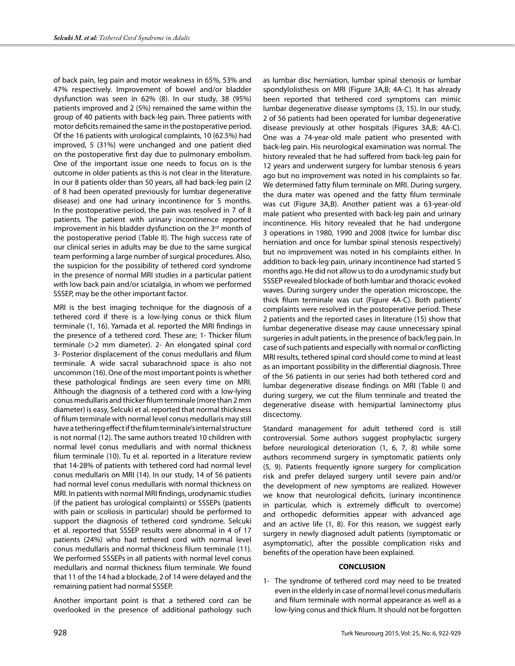of back pain, leg pain and motor weakness in 65%, 53% and 47% respectively. Improvement of bowel and/or bladder dysfunction was seen in 62% (8). In our study, 38 (95%) patients improved and 2 (5%) remained the same within the group of 40 patients with back-leg pain. Three patients with motor deficits remained the same in the postoperative period. Of the 16 patients with urological complaints, 10 (62.5%) had improved, 5 (31%) were unchanged and one patient died on the postoperative first day due to pulmonary embolism. One of the important issue one needs to focus on is the outcome in older patients as this is not clear in the literature. In our 8 patients older than 50 years, all had back-leg pain (2 of 8 had been operated previously for lumbar degenerative disease) and one had urinary incontinence for 5 months. In the postoperative period, the pain was resolved in 7 of 8 patients. The patient with urinary incontinence reported improvement in his bladder dysfunction on the  $3<sup>rd</sup>$  month of the postoperative period (Table II). The high success rate of our clinical series in adults may be due to the same surgical team performing a large number of surgical procedures. Also, the suspicion for the possibility of tethered cord syndrome in the presence of normal MRI studies in a particular patient with low back pain and/or sciatalgia, in whom we performed SSSEP, may be the other important factor.

MRI is the best imaging technique for the diagnosis of a tethered cord if there is a low-lying conus or thick filum terminale (1, 16). Yamada et al. reported the MRI findings in the presence of a tethered cord. These are; 1- Thicker filum terminale (>2 mm diameter). 2- An elongated spinal cord 3- Posterior displacement of the conus medullaris and filum terminale. A wide sacral subarachnoid space is also not uncommon (16). One of the most important points is whether these pathological findings are seen every time on MRI. Although the diagnosis of a tethered cord with a low-lying conus medullaris and thicker filum terminale (more than 2 mm diameter) is easy, Selcuki et al. reported that normal thickness of filum terminale with normal level conus medullaris may still have a tethering effect if the filum terminale's internal structure is not normal (12). The same authors treated 10 children with normal level conus medullaris and with normal thickness filum terminale (10). Tu et al. reported in a literature review that 14-28% of patients with tethered cord had normal level conus medullaris on MRI (14). In our study, 14 of 56 patients had normal level conus medullaris with normal thickness on MRI. In patients with normal MRI findings, urodynamic studies (if the patient has urological complaints) or SSSEPs (patients with pain or scoliosis in particular) should be performed to support the diagnosis of tethered cord syndrome. Selcuki et al. reported that SSSEP results were abnormal in 4 of 17 patients (24%) who had tethered cord with normal level conus medullaris and normal thickness filum terminale (11). We performed SSSEPs in all patients with normal level conus medullaris and normal thickness filum terminale. We found that 11 of the 14 had a blockade, 2 of 14 were delayed and the remaining patient had normal SSSEP.

Another important point is that a tethered cord can be overlooked in the presence of additional pathology such

as lumbar disc herniation, lumbar spinal stenosis or lumbar spondylolisthesis on MRI (Figure 3A,B; 4A-C). It has already been reported that tethered cord symptoms can mimic lumbar degenerative disease symptoms (3, 15). In our study, 2 of 56 patients had been operated for lumbar degenerative disease previously at other hospitals (Figures 3A,B; 4A-C). One was a 74-year-old male patient who presented with back-leg pain. His neurological examination was normal. The history revealed that he had suffered from back-leg pain for 12 years and underwent surgery for lumbar stenosis 6 years ago but no improvement was noted in his complaints so far. We determined fatty filum terminale on MRI. During surgery, the dura mater was opened and the fatty filum terminale was cut (Figure 3A,B). Another patient was a 63-year-old male patient who presented with back-leg pain and urinary incontinence. His hitory revealed that he had undergone 3 operations in 1980, 1990 and 2008 (twice for lumbar disc herniation and once for lumbar spinal stenosis respectively) but no improvement was noted in his complaints either. In addition to back-leg pain, urinary incontinence had started 5 months ago. He did not allow us to do a urodynamic study but SSSEP revealed blockade of both lumbar and thoracic evoked waves. During surgery under the operation microscope, the thick filum terminale was cut (Figure 4A-C). Both patients' complaints were resolved in the postoperative period. These 2 patients and the reported cases in literature (15) show that lumbar degenerative disease may cause unnecessary spinal surgeries in adult patients, in the presence of back/leg pain. In case of such patients and especially with normal or conflicting MRI results, tethered spinal cord should come to mind at least as an important possibility in the differential diagnosis. Three of the 56 patients in our series had both tethered cord and lumbar degenerative disease findings on MRI (Table I) and during surgery, we cut the filum terminale and treated the degenerative disease with hemipartial laminectomy plus discectomy.

Standard management for adult tethered cord is still controversial. Some authors suggest prophylactic surgery before neurological deterioration (1, 6, 7, 8) while some authors recommend surgery in symptomatic patients only (5, 9). Patients frequently ignore surgery for complication risk and prefer delayed surgery until severe pain and/or the development of new symptoms are realized. However we know that neurological deficits, (urinary incontinence in particular, which is extremely difficult to overcome) and orthopedic deformities appear with advanced age and an active life (1, 8). For this reason, we suggest early surgery in newly diagnosed adult patients (symptomatic or asymptomatic), after the possible complication risks and benefits of the operation have been explained.

#### **CONCLUSION**

1- The syndrome of tethered cord may need to be treated even in the elderly in case of normal level conus medullaris and filum terminale with normal appearance as well as a low-lying conus and thick filum. It should not be forgotten